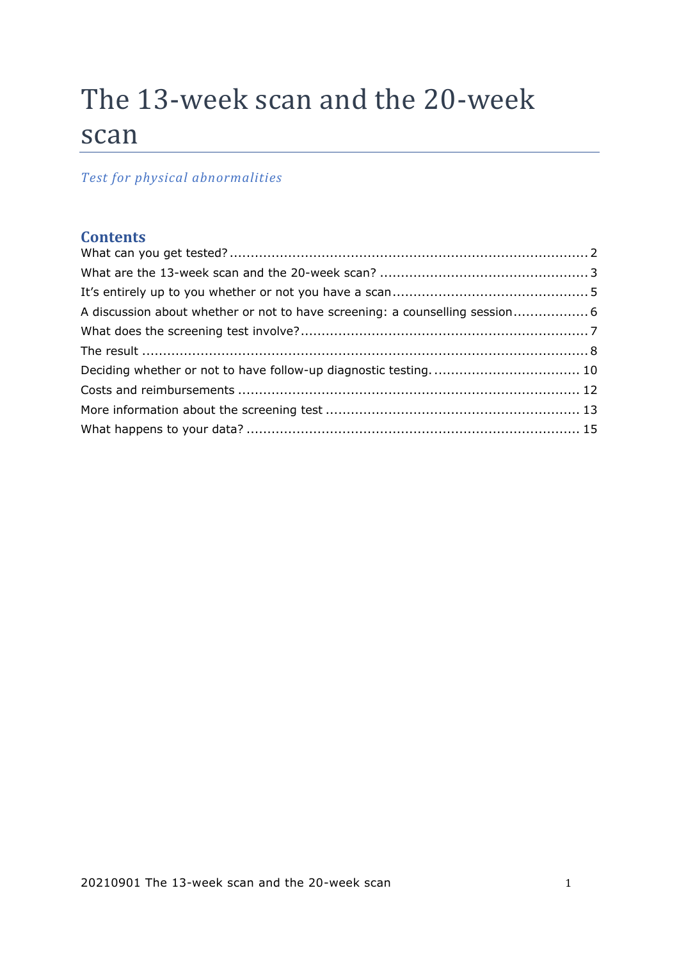# The 13-week scan and the 20-week scan

# *Test for physical abnormalities*

# **Contents**

| A discussion about whether or not to have screening: a counselling session 6 |  |
|------------------------------------------------------------------------------|--|
|                                                                              |  |
|                                                                              |  |
|                                                                              |  |
|                                                                              |  |
|                                                                              |  |
|                                                                              |  |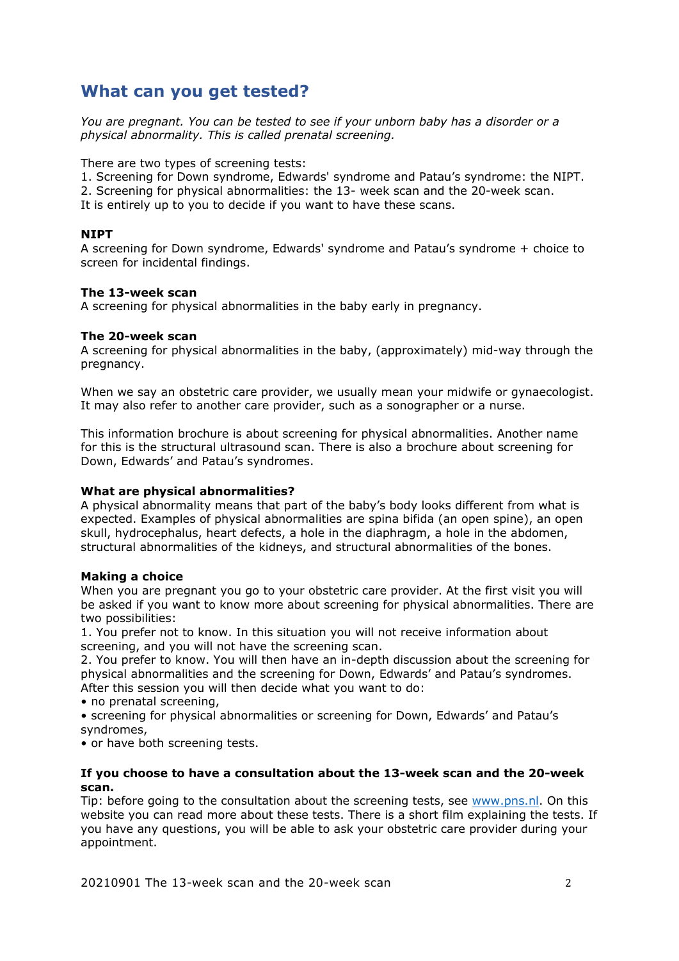# <span id="page-1-0"></span>**What can you get tested?**

*You are pregnant. You can be tested to see if your unborn baby has a disorder or a physical abnormality. This is called prenatal screening.* 

There are two types of screening tests:

- 1. Screening for Down syndrome, Edwards' syndrome and Patau's syndrome: the NIPT.
- 2. Screening for physical abnormalities: the 13- week scan and the 20-week scan.
- It is entirely up to you to decide if you want to have these scans.

### **NIPT**

A screening for Down syndrome, Edwards' syndrome and Patau's syndrome + choice to screen for incidental findings.

#### **The 13-week scan**

A screening for physical abnormalities in the baby early in pregnancy.

#### **The 20-week scan**

A screening for physical abnormalities in the baby, (approximately) mid-way through the pregnancy.

When we say an obstetric care provider, we usually mean your midwife or gynaecologist. It may also refer to another care provider, such as a sonographer or a nurse.

This information brochure is about screening for physical abnormalities. Another name for this is the structural ultrasound scan. There is also a brochure about screening for Down, Edwards' and Patau's syndromes.

### **What are physical abnormalities?**

A physical abnormality means that part of the baby's body looks different from what is expected. Examples of physical abnormalities are spina bifida (an open spine), an open skull, hydrocephalus, heart defects, a hole in the diaphragm, a hole in the abdomen, structural abnormalities of the kidneys, and structural abnormalities of the bones.

### **Making a choice**

When you are pregnant you go to your obstetric care provider. At the first visit you will be asked if you want to know more about screening for physical abnormalities. There are two possibilities:

1. You prefer not to know. In this situation you will not receive information about screening, and you will not have the screening scan.

2. You prefer to know. You will then have an in-depth discussion about the screening for physical abnormalities and the screening for Down, Edwards' and Patau's syndromes. After this session you will then decide what you want to do:

• no prenatal screening,

• screening for physical abnormalities or screening for Down, Edwards' and Patau's syndromes,

• or have both screening tests.

#### **If you choose to have a consultation about the 13-week scan and the 20-week scan.**

Tip: before going to the consultation about the screening tests, see [www.pns.nl.](http://www.pns.nl/) On this website you can read more about these tests. There is a short film explaining the tests. If you have any questions, you will be able to ask your obstetric care provider during your appointment.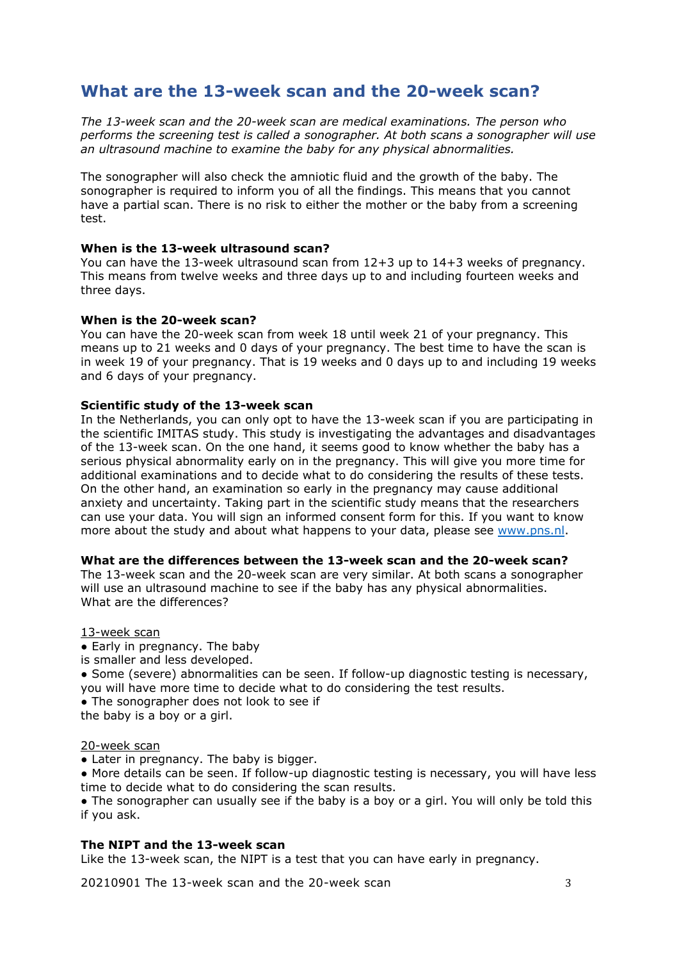# <span id="page-2-0"></span>**What are the 13-week scan and the 20-week scan?**

*The 13-week scan and the 20-week scan are medical examinations. The person who performs the screening test is called a sonographer. At both scans a sonographer will use an ultrasound machine to examine the baby for any physical abnormalities.* 

The sonographer will also check the amniotic fluid and the growth of the baby. The sonographer is required to inform you of all the findings. This means that you cannot have a partial scan. There is no risk to either the mother or the baby from a screening test

### **When is the 13-week ultrasound scan?**

You can have the 13-week ultrasound scan from 12+3 up to 14+3 weeks of pregnancy. This means from twelve weeks and three days up to and including fourteen weeks and three days.

### **When is the 20-week scan?**

You can have the 20-week scan from week 18 until week 21 of your pregnancy. This means up to 21 weeks and 0 days of your pregnancy. The best time to have the scan is in week 19 of your pregnancy. That is 19 weeks and 0 days up to and including 19 weeks and 6 days of your pregnancy.

### **Scientific study of the 13-week scan**

In the Netherlands, you can only opt to have the 13-week scan if you are participating in the scientific IMITAS study. This study is investigating the advantages and disadvantages of the 13-week scan. On the one hand, it seems good to know whether the baby has a serious physical abnormality early on in the pregnancy. This will give you more time for additional examinations and to decide what to do considering the results of these tests. On the other hand, an examination so early in the pregnancy may cause additional anxiety and uncertainty. Taking part in the scientific study means that the researchers can use your data. You will sign an informed consent form for this. If you want to know more about the study and about what happens to your data, please see [www.pns.nl.](http://www.pns.nl/)

### **What are the differences between the 13-week scan and the 20-week scan?**

The 13-week scan and the 20-week scan are very similar. At both scans a sonographer will use an ultrasound machine to see if the baby has any physical abnormalities. What are the differences?

### 13-week scan

- Early in pregnancy. The baby
- is smaller and less developed.
- Some (severe) abnormalities can be seen. If follow-up diagnostic testing is necessary, you will have more time to decide what to do considering the test results.
- The sonographer does not look to see if
- the baby is a boy or a girl.

### 20-week scan

- Later in pregnancy. The baby is bigger.
- More details can be seen. If follow-up diagnostic testing is necessary, you will have less time to decide what to do considering the scan results.

• The sonographer can usually see if the baby is a boy or a girl. You will only be told this if you ask.

# **The NIPT and the 13-week scan**

Like the 13-week scan, the NIPT is a test that you can have early in pregnancy.

20210901 The 13-week scan and the 20-week scan 3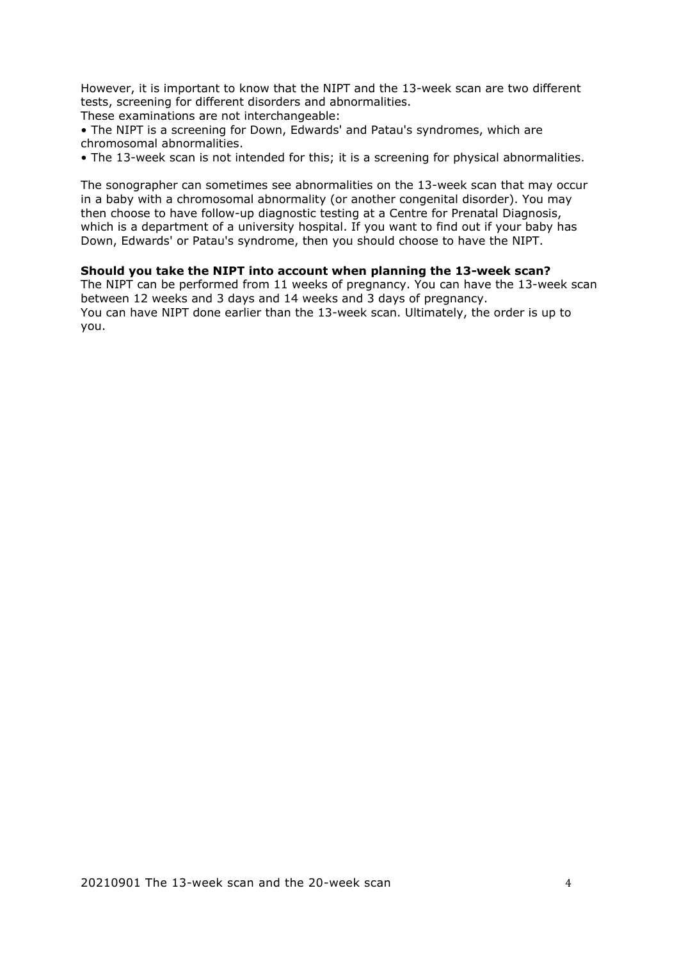However, it is important to know that the NIPT and the 13-week scan are two different tests, screening for different disorders and abnormalities.

These examinations are not interchangeable:

• The NIPT is a screening for Down, Edwards' and Patau's syndromes, which are chromosomal abnormalities.

• The 13-week scan is not intended for this; it is a screening for physical abnormalities.

The sonographer can sometimes see abnormalities on the 13-week scan that may occur in a baby with a chromosomal abnormality (or another congenital disorder). You may then choose to have follow-up diagnostic testing at a Centre for Prenatal Diagnosis, which is a department of a university hospital. If you want to find out if your baby has Down, Edwards' or Patau's syndrome, then you should choose to have the NIPT.

### **Should you take the NIPT into account when planning the 13-week scan?**

The NIPT can be performed from 11 weeks of pregnancy. You can have the 13-week scan between 12 weeks and 3 days and 14 weeks and 3 days of pregnancy. You can have NIPT done earlier than the 13-week scan. Ultimately, the order is up to you.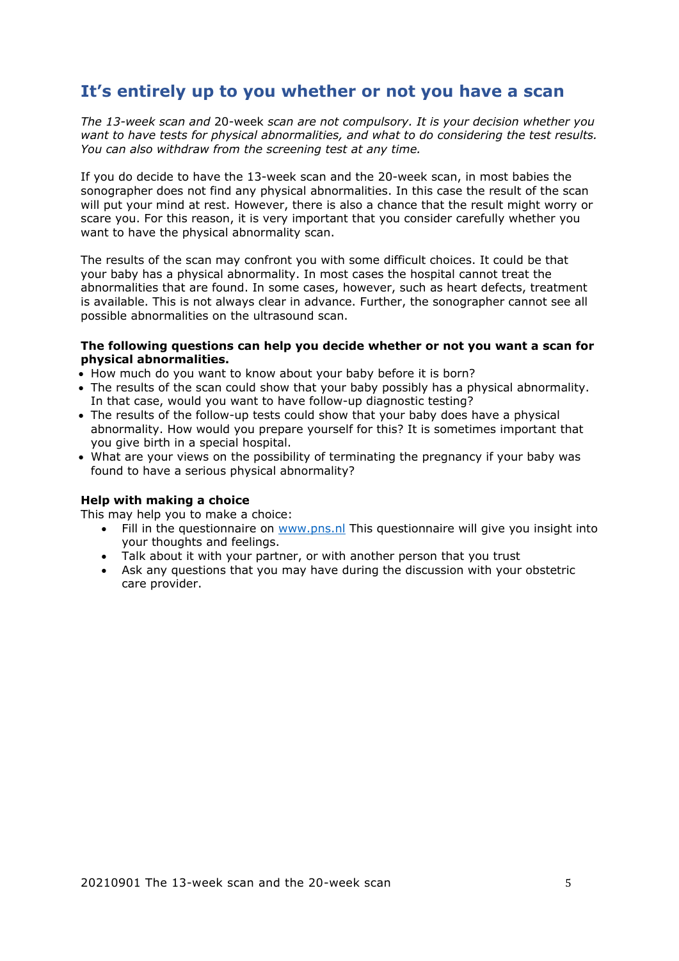# <span id="page-4-0"></span>**It's entirely up to you whether or not you have a scan**

*The 13-week scan and* 20-week *scan are not compulsory. It is your decision whether you want to have tests for physical abnormalities, and what to do considering the test results. You can also withdraw from the screening test at any time.*

If you do decide to have the 13-week scan and the 20-week scan, in most babies the sonographer does not find any physical abnormalities. In this case the result of the scan will put your mind at rest. However, there is also a chance that the result might worry or scare you. For this reason, it is very important that you consider carefully whether you want to have the physical abnormality scan.

The results of the scan may confront you with some difficult choices. It could be that your baby has a physical abnormality. In most cases the hospital cannot treat the abnormalities that are found. In some cases, however, such as heart defects, treatment is available. This is not always clear in advance. Further, the sonographer cannot see all possible abnormalities on the ultrasound scan.

#### **The following questions can help you decide whether or not you want a scan for physical abnormalities.**

- How much do you want to know about your baby before it is born?
- The results of the scan could show that your baby possibly has a physical abnormality. In that case, would you want to have follow-up diagnostic testing?
- The results of the follow-up tests could show that your baby does have a physical abnormality. How would you prepare yourself for this? It is sometimes important that you give birth in a special hospital.
- What are your views on the possibility of terminating the pregnancy if your baby was found to have a serious physical abnormality?

#### **Help with making a choice**

This may help you to make a choice:

- Fill in the questionnaire on [www.pns.nl](http://www.pns.nl/) This questionnaire will give you insight into your thoughts and feelings.
- Talk about it with your partner, or with another person that you trust
- Ask any questions that you may have during the discussion with your obstetric care provider.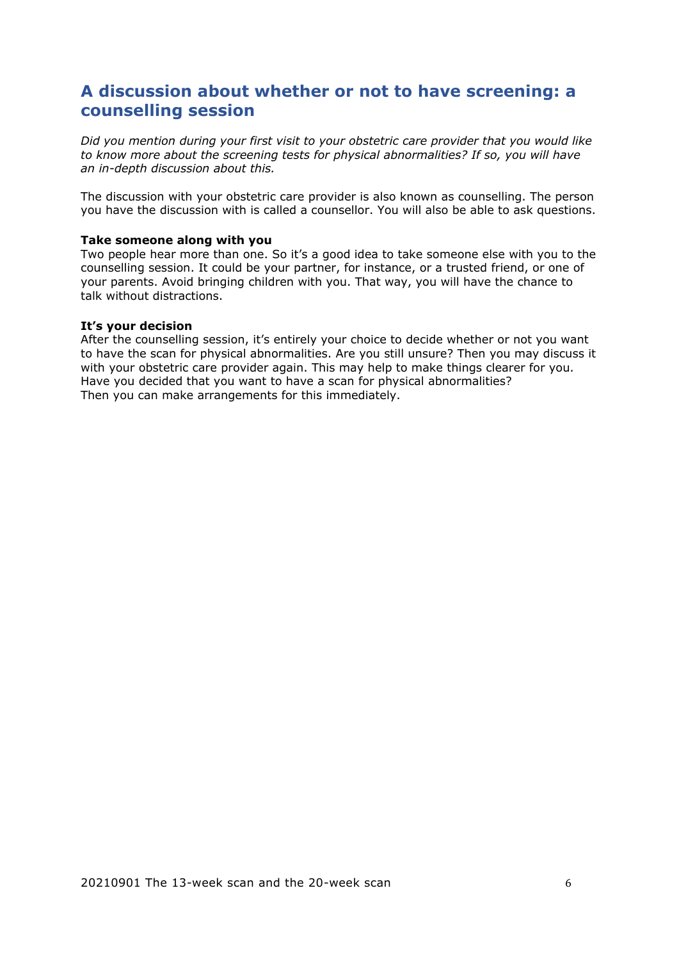# <span id="page-5-0"></span>**A discussion about whether or not to have screening: a counselling session**

*Did you mention during your first visit to your obstetric care provider that you would like to know more about the screening tests for physical abnormalities? If so, you will have an in-depth discussion about this.* 

The discussion with your obstetric care provider is also known as counselling. The person you have the discussion with is called a counsellor. You will also be able to ask questions.

#### **Take someone along with you**

Two people hear more than one. So it's a good idea to take someone else with you to the counselling session. It could be your partner, for instance, or a trusted friend, or one of your parents. Avoid bringing children with you. That way, you will have the chance to talk without distractions.

#### **It's your decision**

After the counselling session, it's entirely your choice to decide whether or not you want to have the scan for physical abnormalities. Are you still unsure? Then you may discuss it with your obstetric care provider again. This may help to make things clearer for you. Have you decided that you want to have a scan for physical abnormalities? Then you can make arrangements for this immediately.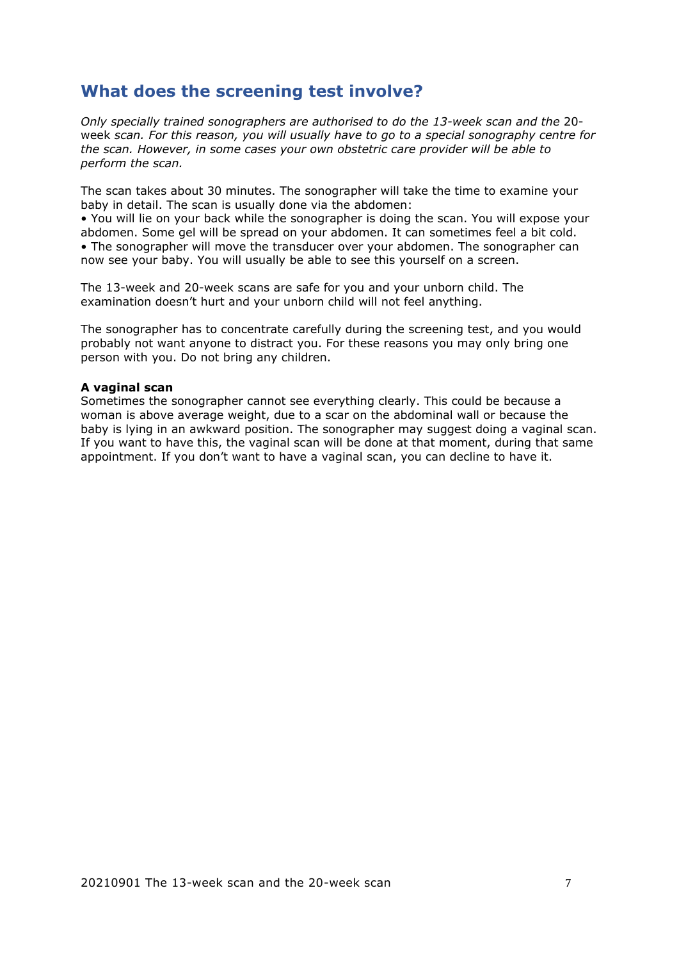# <span id="page-6-0"></span>**What does the screening test involve?**

*Only specially trained sonographers are authorised to do the 13-week scan and the* 20 week *scan. For this reason, you will usually have to go to a special sonography centre for the scan. However, in some cases your own obstetric care provider will be able to perform the scan.* 

The scan takes about 30 minutes. The sonographer will take the time to examine your baby in detail. The scan is usually done via the abdomen:

• You will lie on your back while the sonographer is doing the scan. You will expose your abdomen. Some gel will be spread on your abdomen. It can sometimes feel a bit cold. • The sonographer will move the transducer over your abdomen. The sonographer can now see your baby. You will usually be able to see this yourself on a screen.

The 13-week and 20-week scans are safe for you and your unborn child. The examination doesn't hurt and your unborn child will not feel anything.

The sonographer has to concentrate carefully during the screening test, and you would probably not want anyone to distract you. For these reasons you may only bring one person with you. Do not bring any children.

### **A vaginal scan**

Sometimes the sonographer cannot see everything clearly. This could be because a woman is above average weight, due to a scar on the abdominal wall or because the baby is lying in an awkward position. The sonographer may suggest doing a vaginal scan. If you want to have this, the vaginal scan will be done at that moment, during that same appointment. If you don't want to have a vaginal scan, you can decline to have it.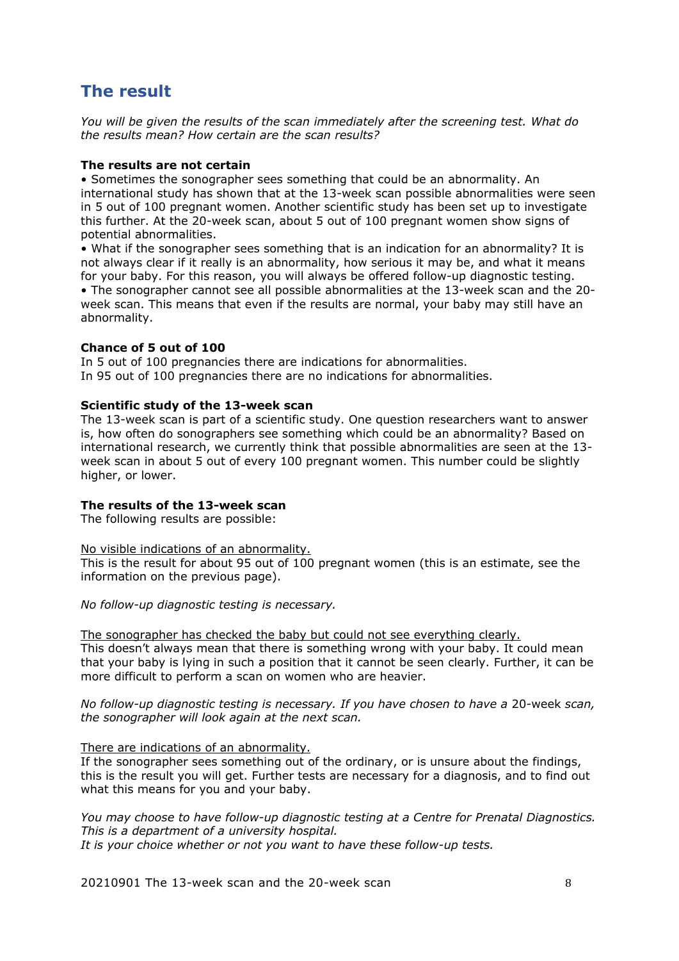# <span id="page-7-0"></span>**The result**

*You will be given the results of the scan immediately after the screening test. What do the results mean? How certain are the scan results?* 

### **The results are not certain**

• Sometimes the sonographer sees something that could be an abnormality. An international study has shown that at the 13-week scan possible abnormalities were seen in 5 out of 100 pregnant women. Another scientific study has been set up to investigate this further. At the 20-week scan, about 5 out of 100 pregnant women show signs of potential abnormalities.

• What if the sonographer sees something that is an indication for an abnormality? It is not always clear if it really is an abnormality, how serious it may be, and what it means for your baby. For this reason, you will always be offered follow-up diagnostic testing. • The sonographer cannot see all possible abnormalities at the 13-week scan and the 20 week scan. This means that even if the results are normal, your baby may still have an abnormality.

### **Chance of 5 out of 100**

In 5 out of 100 pregnancies there are indications for abnormalities. In 95 out of 100 pregnancies there are no indications for abnormalities.

### **Scientific study of the 13-week scan**

The 13-week scan is part of a scientific study. One question researchers want to answer is, how often do sonographers see something which could be an abnormality? Based on international research, we currently think that possible abnormalities are seen at the 13 week scan in about 5 out of every 100 pregnant women. This number could be slightly higher, or lower.

### **The results of the 13-week scan**

The following results are possible:

### No visible indications of an abnormality.

This is the result for about 95 out of 100 pregnant women (this is an estimate, see the information on the previous page).

*No follow-up diagnostic testing is necessary.* 

The sonographer has checked the baby but could not see everything clearly. This doesn't always mean that there is something wrong with your baby. It could mean that your baby is lying in such a position that it cannot be seen clearly. Further, it can be more difficult to perform a scan on women who are heavier.

*No follow-up diagnostic testing is necessary. If you have chosen to have a* 20-week *scan, the sonographer will look again at the next scan.* 

### There are indications of an abnormality.

If the sonographer sees something out of the ordinary, or is unsure about the findings, this is the result you will get. Further tests are necessary for a diagnosis, and to find out what this means for you and your baby.

*You may choose to have follow-up diagnostic testing at a Centre for Prenatal Diagnostics. This is a department of a university hospital. It is your choice whether or not you want to have these follow-up tests.* 

20210901 The 13-week scan and the 20-week scan and  $\frac{8}{3}$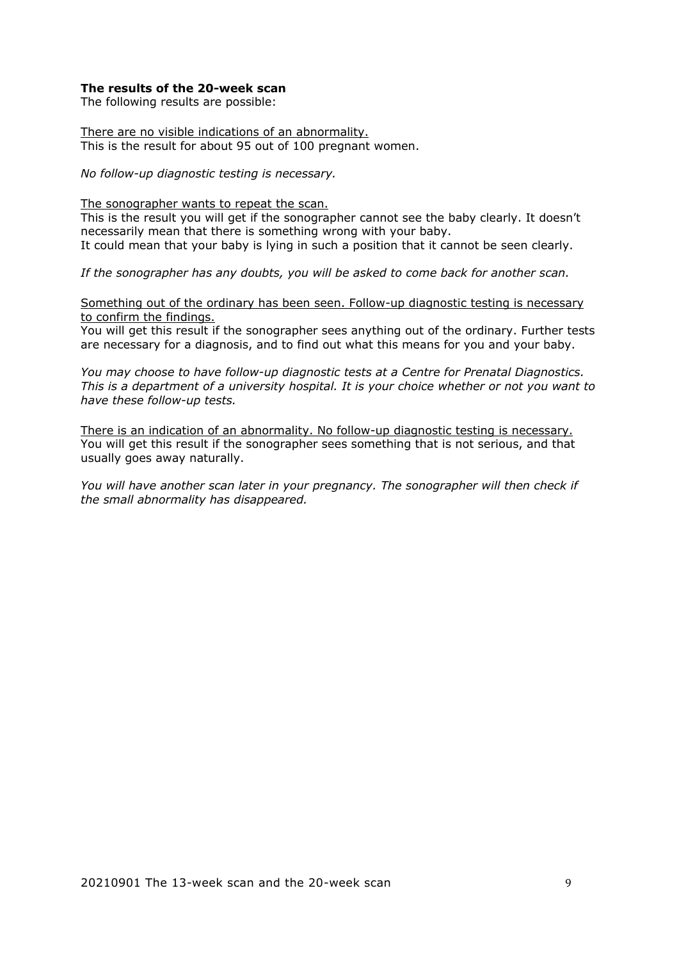#### **The results of the 20-week scan**

The following results are possible:

There are no visible indications of an abnormality. This is the result for about 95 out of 100 pregnant women.

*No follow-up diagnostic testing is necessary.* 

The sonographer wants to repeat the scan.

This is the result you will get if the sonographer cannot see the baby clearly. It doesn't necessarily mean that there is something wrong with your baby. It could mean that your baby is lying in such a position that it cannot be seen clearly.

*If the sonographer has any doubts, you will be asked to come back for another scan.* 

Something out of the ordinary has been seen. Follow-up diagnostic testing is necessary to confirm the findings.

You will get this result if the sonographer sees anything out of the ordinary. Further tests are necessary for a diagnosis, and to find out what this means for you and your baby.

*You may choose to have follow-up diagnostic tests at a Centre for Prenatal Diagnostics. This is a department of a university hospital. It is your choice whether or not you want to have these follow-up tests.* 

There is an indication of an abnormality. No follow-up diagnostic testing is necessary. You will get this result if the sonographer sees something that is not serious, and that usually goes away naturally.

*You will have another scan later in your pregnancy. The sonographer will then check if the small abnormality has disappeared.*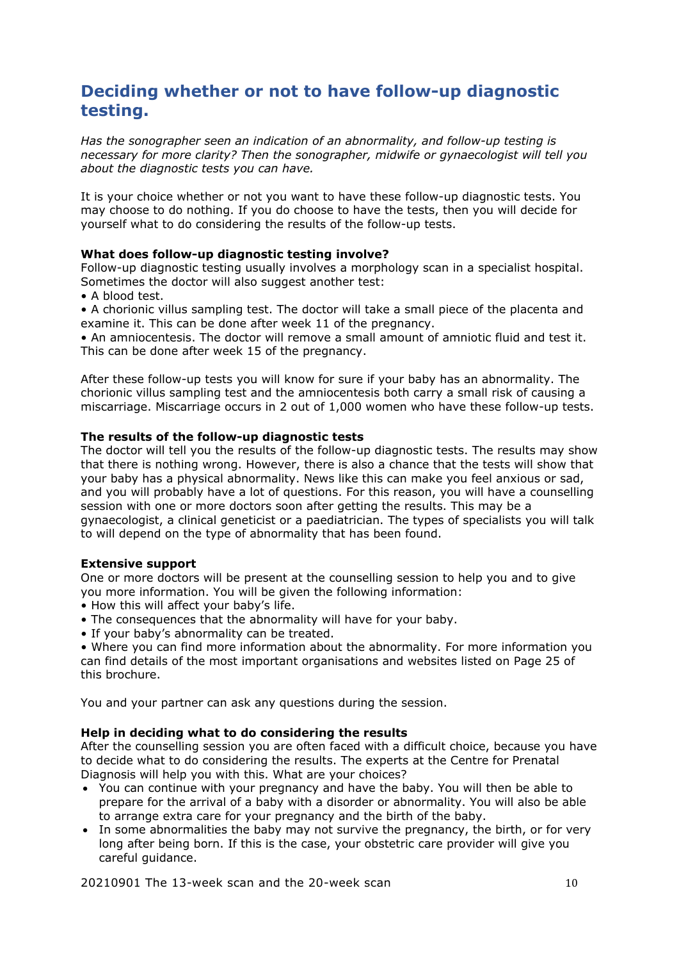# <span id="page-9-0"></span>**Deciding whether or not to have follow-up diagnostic testing.**

*Has the sonographer seen an indication of an abnormality, and follow-up testing is necessary for more clarity? Then the sonographer, midwife or gynaecologist will tell you about the diagnostic tests you can have.* 

It is your choice whether or not you want to have these follow-up diagnostic tests. You may choose to do nothing. If you do choose to have the tests, then you will decide for yourself what to do considering the results of the follow-up tests.

### **What does follow-up diagnostic testing involve?**

Follow-up diagnostic testing usually involves a morphology scan in a specialist hospital. Sometimes the doctor will also suggest another test:

• A blood test.

• A chorionic villus sampling test. The doctor will take a small piece of the placenta and examine it. This can be done after week 11 of the pregnancy.

• An amniocentesis. The doctor will remove a small amount of amniotic fluid and test it. This can be done after week 15 of the pregnancy.

After these follow-up tests you will know for sure if your baby has an abnormality. The chorionic villus sampling test and the amniocentesis both carry a small risk of causing a miscarriage. Miscarriage occurs in 2 out of 1,000 women who have these follow-up tests.

### **The results of the follow-up diagnostic tests**

The doctor will tell you the results of the follow-up diagnostic tests. The results may show that there is nothing wrong. However, there is also a chance that the tests will show that your baby has a physical abnormality. News like this can make you feel anxious or sad, and you will probably have a lot of questions. For this reason, you will have a counselling session with one or more doctors soon after getting the results. This may be a gynaecologist, a clinical geneticist or a paediatrician. The types of specialists you will talk to will depend on the type of abnormality that has been found.

### **Extensive support**

One or more doctors will be present at the counselling session to help you and to give you more information. You will be given the following information:

- How this will affect your baby's life.
- The consequences that the abnormality will have for your baby.
- If your baby's abnormality can be treated.

• Where you can find more information about the abnormality. For more information you can find details of the most important organisations and websites listed on Page 25 of this brochure.

You and your partner can ask any questions during the session.

### **Help in deciding what to do considering the results**

After the counselling session you are often faced with a difficult choice, because you have to decide what to do considering the results. The experts at the Centre for Prenatal Diagnosis will help you with this. What are your choices?

- You can continue with your pregnancy and have the baby. You will then be able to prepare for the arrival of a baby with a disorder or abnormality. You will also be able to arrange extra care for your pregnancy and the birth of the baby.
- In some abnormalities the baby may not survive the pregnancy, the birth, or for very long after being born. If this is the case, your obstetric care provider will give you careful guidance.

20210901 The 13-week scan and the 20-week scan 10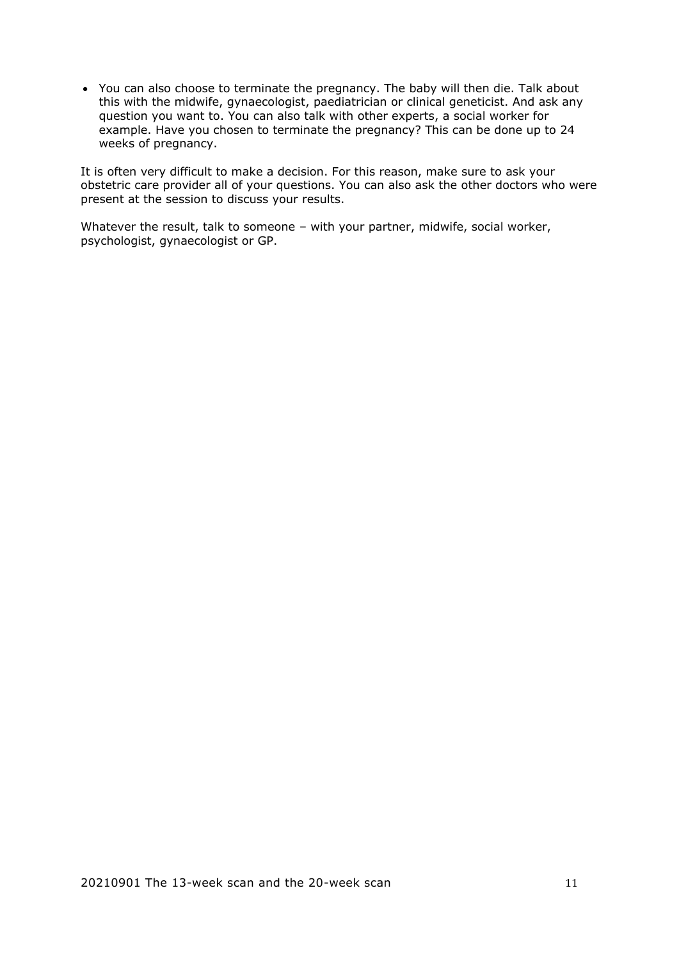• You can also choose to terminate the pregnancy. The baby will then die. Talk about this with the midwife, gynaecologist, paediatrician or clinical geneticist. And ask any question you want to. You can also talk with other experts, a social worker for example. Have you chosen to terminate the pregnancy? This can be done up to 24 weeks of pregnancy.

It is often very difficult to make a decision. For this reason, make sure to ask your obstetric care provider all of your questions. You can also ask the other doctors who were present at the session to discuss your results.

Whatever the result, talk to someone – with your partner, midwife, social worker, psychologist, gynaecologist or GP.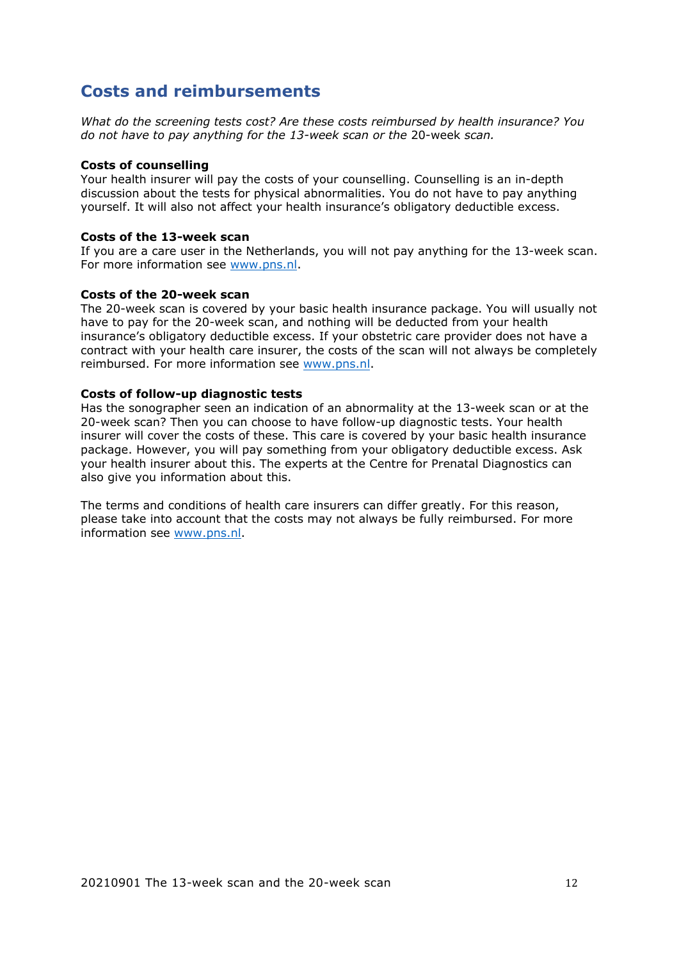# <span id="page-11-0"></span>**Costs and reimbursements**

*What do the screening tests cost? Are these costs reimbursed by health insurance? You do not have to pay anything for the 13-week scan or the* 20-week *scan.* 

#### **Costs of counselling**

Your health insurer will pay the costs of your counselling. Counselling is an in-depth discussion about the tests for physical abnormalities. You do not have to pay anything yourself. It will also not affect your health insurance's obligatory deductible excess.

#### **Costs of the 13-week scan**

If you are a care user in the Netherlands, you will not pay anything for the 13-week scan. For more information see [www.pns.nl.](http://www.pns.nl/)

### **Costs of the 20-week scan**

The 20-week scan is covered by your basic health insurance package. You will usually not have to pay for the 20-week scan, and nothing will be deducted from your health insurance's obligatory deductible excess. If your obstetric care provider does not have a contract with your health care insurer, the costs of the scan will not always be completely reimbursed. For more information see [www.pns.nl.](http://www.pns.nl/)

#### **Costs of follow-up diagnostic tests**

Has the sonographer seen an indication of an abnormality at the 13-week scan or at the 20-week scan? Then you can choose to have follow-up diagnostic tests. Your health insurer will cover the costs of these. This care is covered by your basic health insurance package. However, you will pay something from your obligatory deductible excess. Ask your health insurer about this. The experts at the Centre for Prenatal Diagnostics can also give you information about this.

The terms and conditions of health care insurers can differ greatly. For this reason, please take into account that the costs may not always be fully reimbursed. For more information see [www.pns.nl.](http://www.pns.nl/)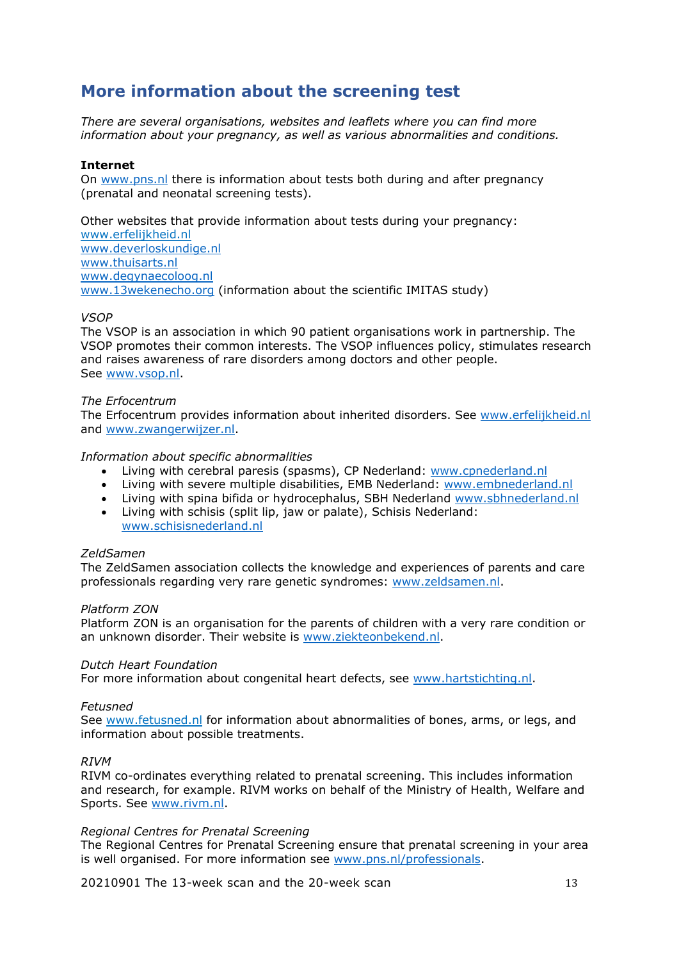# <span id="page-12-0"></span>**More information about the screening test**

*There are several organisations, websites and leaflets where you can find more information about your pregnancy, as well as various abnormalities and conditions.* 

### **Internet**

On [www.pns.nl](http://www.pns.nl/) there is information about tests both during and after pregnancy (prenatal and neonatal screening tests).

Other websites that provide information about tests during your pregnancy: [www.erfelijkheid.nl](http://www.erfelijkheid.nl/) [www.deverloskundige.nl](http://www.deverloskundige.nl/) [www.thuisarts.nl](http://www.thuisarts.nl/) [www.degynaecoloog.nl](http://www.degynaecoloog.nl/) [www.13wekenecho.org](http://www.13wekenecho.org/) (information about the scientific IMITAS study)

### *VSOP*

The VSOP is an association in which 90 patient organisations work in partnership. The VSOP promotes their common interests. The VSOP influences policy, stimulates research and raises awareness of rare disorders among doctors and other people. See [www.vsop.nl.](http://www.vsop.nl/)

### *The Erfocentrum*

The Erfocentrum provides information about inherited disorders. See [www.erfelijkheid.nl](http://www.erfelijkheid.nl/) and [www.zwangerwijzer.nl.](http://www.zwangerwijzer.nl/)

### *Information about specific abnormalities*

- Living with cerebral paresis (spasms), CP Nederland: [www.cpnederland.nl](http://www.cpnederland.nl/)
- Living with severe multiple disabilities, EMB Nederland: [www.embnederland.nl](http://www.embnederland.nl/)
- Living with spina bifida or hydrocephalus, SBH Nederland [www.sbhnederland.nl](http://www.sbhnederland.nl/)
- Living with schisis (split lip, jaw or palate), Schisis Nederland: [www.schisisnederland.nl](http://www.schisisnederland.nl/)

### *ZeldSamen*

The ZeldSamen association collects the knowledge and experiences of parents and care professionals regarding very rare genetic syndromes: [www.zeldsamen.nl.](http://www.zeldsamen.nl/)

### *Platform ZON*

Platform ZON is an organisation for the parents of children with a very rare condition or an unknown disorder. Their website is [www.ziekteonbekend.nl.](http://www.ziekteonbekend.nl/)

### *Dutch Heart Foundation*

For more information about congenital heart defects, see [www.hartstichting.nl.](http://www.hartstichting.nl/)

### *Fetusned*

See [www.fetusned.nl](http://www.fetusned.nl/) for information about abnormalities of bones, arms, or legs, and information about possible treatments.

### *RIVM*

RIVM co-ordinates everything related to prenatal screening. This includes information and research, for example. RIVM works on behalf of the Ministry of Health, Welfare and Sports. See [www.rivm.nl.](http://www.rivm.nl/)

### *Regional Centres for Prenatal Screening*

The Regional Centres for Prenatal Screening ensure that prenatal screening in your area is well organised. For more information see [www.pns.nl/professionals.](http://www.pns.nl/professionals)

20210901 The 13-week scan and the 20-week scan 13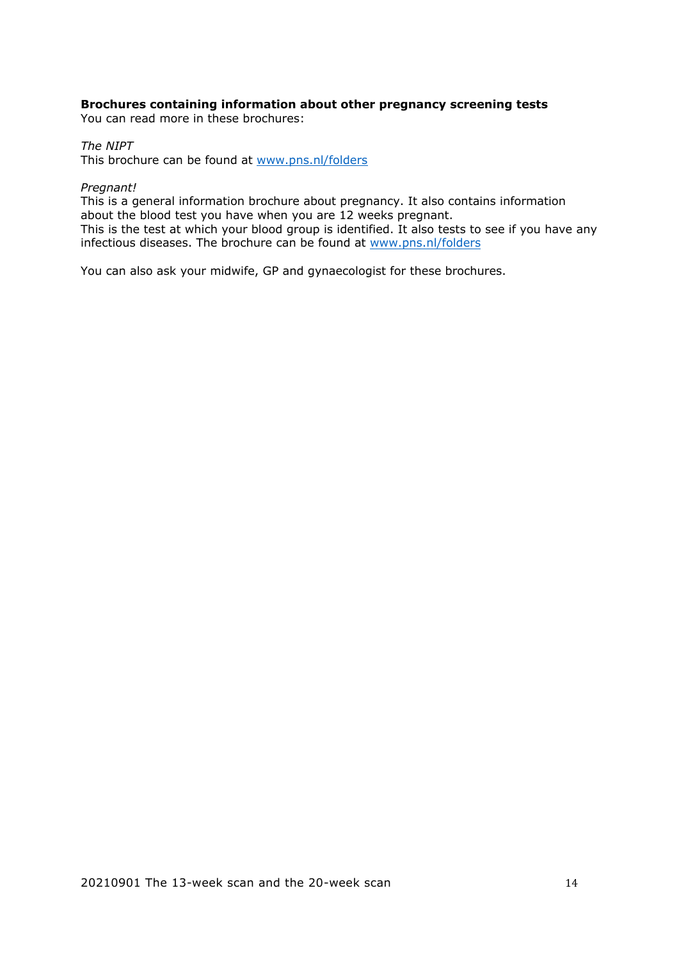### **Brochures containing information about other pregnancy screening tests**

You can read more in these brochures:

### *The NIPT*

This brochure can be found at [www.pns.nl/folders](http://www.pns.nl/folders)

#### *Pregnant!*

This is a general information brochure about pregnancy. It also contains information about the blood test you have when you are 12 weeks pregnant. This is the test at which your blood group is identified. It also tests to see if you have any infectious diseases. The brochure can be found at [www.pns.nl/folders](http://www.pns.nl/folders)

You can also ask your midwife, GP and gynaecologist for these brochures.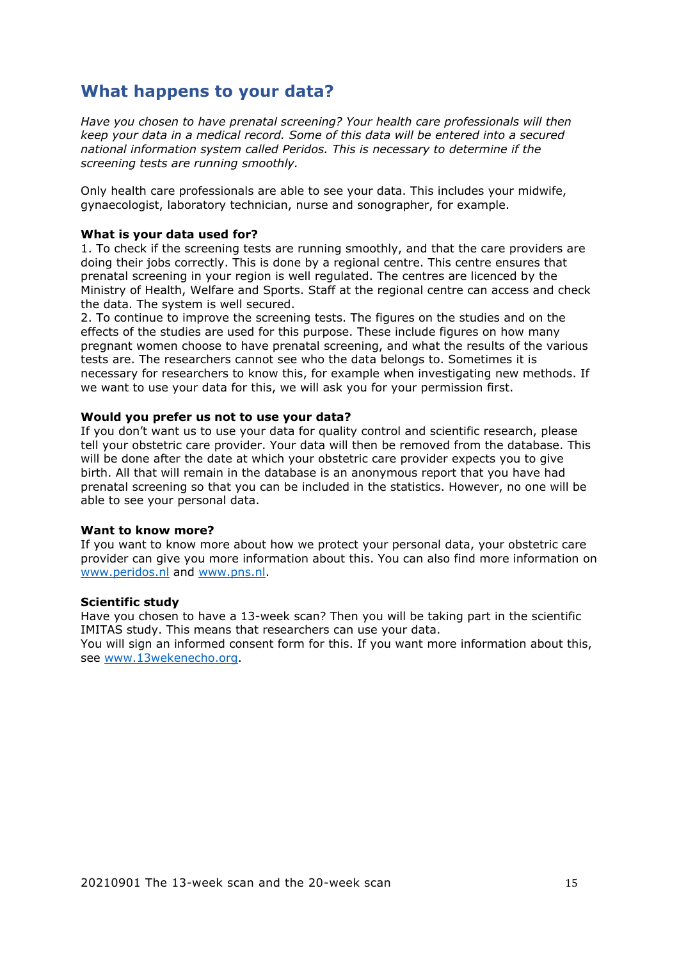# <span id="page-14-0"></span>**What happens to your data?**

*Have you chosen to have prenatal screening? Your health care professionals will then keep your data in a medical record. Some of this data will be entered into a secured national information system called Peridos. This is necessary to determine if the screening tests are running smoothly.* 

Only health care professionals are able to see your data. This includes your midwife, gynaecologist, laboratory technician, nurse and sonographer, for example.

# **What is your data used for?**

1. To check if the screening tests are running smoothly, and that the care providers are doing their jobs correctly. This is done by a regional centre. This centre ensures that prenatal screening in your region is well regulated. The centres are licenced by the Ministry of Health, Welfare and Sports. Staff at the regional centre can access and check the data. The system is well secured.

2. To continue to improve the screening tests. The figures on the studies and on the effects of the studies are used for this purpose. These include figures on how many pregnant women choose to have prenatal screening, and what the results of the various tests are. The researchers cannot see who the data belongs to. Sometimes it is necessary for researchers to know this, for example when investigating new methods. If we want to use your data for this, we will ask you for your permission first.

#### **Would you prefer us not to use your data?**

If you don't want us to use your data for quality control and scientific research, please tell your obstetric care provider. Your data will then be removed from the database. This will be done after the date at which your obstetric care provider expects you to give birth. All that will remain in the database is an anonymous report that you have had prenatal screening so that you can be included in the statistics. However, no one will be able to see your personal data.

#### **Want to know more?**

If you want to know more about how we protect your personal data, your obstetric care provider can give you more information about this. You can also find more information on [www.peridos.nl](http://www.peridos.nl/) and [www.pns.nl.](http://www.pns.nl/)

#### **Scientific study**

Have you chosen to have a 13-week scan? Then you will be taking part in the scientific IMITAS study. This means that researchers can use your data. You will sign an informed consent form for this. If you want more information about this, see [www.13wekenecho.org.](http://www.13wekenecho.org/)